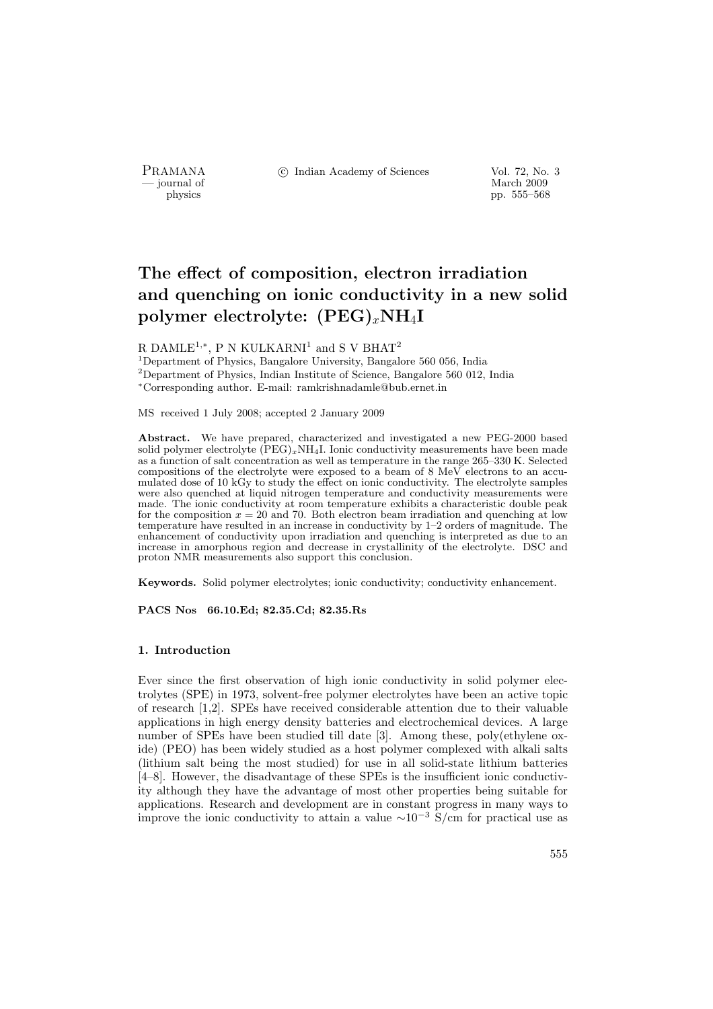PRAMANA °c Indian Academy of Sciences Vol. 72, No. 3

position of the matrix of the matrix of the March 2009 physics that the matrix of the March 2009 pp. 555–568 pp. 555–568

# The effect of composition, electron irradiation and quenching on ionic conductivity in a new solid polymer electrolyte:  $(PEG)_xNH_4I$

R DAMLE<sup>1,\*</sup>, P N KULKARNI<sup>1</sup> and S V BHAT<sup>2</sup>

<sup>1</sup>Department of Physics, Bangalore University, Bangalore 560 056, India <sup>2</sup>Department of Physics, Indian Institute of Science, Bangalore 560 012, India <sup>∗</sup>Corresponding author. E-mail: ramkrishnadamle@bub.ernet.in

MS received 1 July 2008; accepted 2 January 2009

Abstract. We have prepared, characterized and investigated a new PEG-2000 based solid polymer electrolyte  $(PEG)_xNH_4I$ . Ionic conductivity measurements have been made as a function of salt concentration as well as temperature in the range 265–330 K. Selected compositions of the electrolyte were exposed to a beam of 8 MeV electrons to an accumulated dose of 10 kGy to study the effect on ionic conductivity. The electrolyte samples were also quenched at liquid nitrogen temperature and conductivity measurements were made. The ionic conductivity at room temperature exhibits a characteristic double peak for the composition  $x = 20$  and 70. Both electron beam irradiation and quenching at low temperature have resulted in an increase in conductivity by 1–2 orders of magnitude. The enhancement of conductivity upon irradiation and quenching is interpreted as due to an increase in amorphous region and decrease in crystallinity of the electrolyte. DSC and proton NMR measurements also support this conclusion.

Keywords. Solid polymer electrolytes; ionic conductivity; conductivity enhancement.

PACS Nos 66.10.Ed; 82.35.Cd; 82.35.Rs

# 1. Introduction

Ever since the first observation of high ionic conductivity in solid polymer electrolytes (SPE) in 1973, solvent-free polymer electrolytes have been an active topic of research [1,2]. SPEs have received considerable attention due to their valuable applications in high energy density batteries and electrochemical devices. A large number of SPEs have been studied till date [3]. Among these, poly(ethylene oxide) (PEO) has been widely studied as a host polymer complexed with alkali salts (lithium salt being the most studied) for use in all solid-state lithium batteries [4–8]. However, the disadvantage of these SPEs is the insufficient ionic conductivity although they have the advantage of most other properties being suitable for applications. Research and development are in constant progress in many ways to improve the ionic conductivity to attain a value  $\sim 10^{-3}$  S/cm for practical use as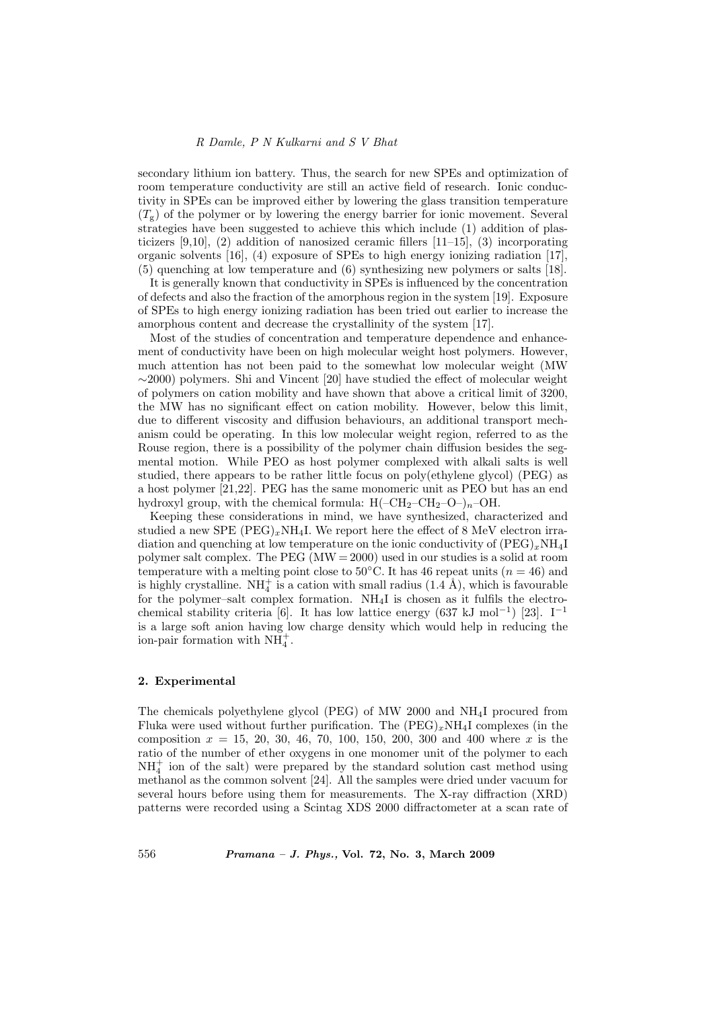secondary lithium ion battery. Thus, the search for new SPEs and optimization of room temperature conductivity are still an active field of research. Ionic conductivity in SPEs can be improved either by lowering the glass transition temperature  $(T<sub>s</sub>)$  of the polymer or by lowering the energy barrier for ionic movement. Several strategies have been suggested to achieve this which include (1) addition of plasticizers  $[9,10]$ , (2) addition of nanosized ceramic fillers  $[11–15]$ , (3) incorporating organic solvents [16], (4) exposure of SPEs to high energy ionizing radiation [17], (5) quenching at low temperature and (6) synthesizing new polymers or salts [18].

It is generally known that conductivity in SPEs is influenced by the concentration of defects and also the fraction of the amorphous region in the system [19]. Exposure of SPEs to high energy ionizing radiation has been tried out earlier to increase the amorphous content and decrease the crystallinity of the system [17].

Most of the studies of concentration and temperature dependence and enhancement of conductivity have been on high molecular weight host polymers. However, much attention has not been paid to the somewhat low molecular weight (MW  $\sim$ 2000) polymers. Shi and Vincent [20] have studied the effect of molecular weight of polymers on cation mobility and have shown that above a critical limit of 3200, the MW has no significant effect on cation mobility. However, below this limit, due to different viscosity and diffusion behaviours, an additional transport mechanism could be operating. In this low molecular weight region, referred to as the Rouse region, there is a possibility of the polymer chain diffusion besides the segmental motion. While PEO as host polymer complexed with alkali salts is well studied, there appears to be rather little focus on poly(ethylene glycol) (PEG) as a host polymer [21,22]. PEG has the same monomeric unit as PEO but has an end hydroxyl group, with the chemical formula:  $H(-CH_2-CH_2-O-)_n-OH$ .

Keeping these considerations in mind, we have synthesized, characterized and studied a new SPE  $(PEG)_xNH_4I$ . We report here the effect of 8 MeV electron irradiation and quenching at low temperature on the ionic conductivity of  $(PEG)_xNH_4I$ polymer salt complex. The PEG (MW = 2000) used in our studies is a solid at room temperature with a melting point close to 50°C. It has 46 repeat units  $(n = 46)$  and is highly crystalline.  $NH_4^+$  is a cation with small radius  $(1.4 \text{ Å})$ , which is favourable for the polymer–salt complex formation. NH4I is chosen as it fulfils the electrochemical stability criteria [6]. It has low lattice energy (637 kJ mol<sup>-1</sup>) [23]. I<sup>-1</sup> is a large soft anion having low charge density which would help in reducing the ion-pair formation with  $NH<sub>4</sub><sup>+</sup>$ .

# 2. Experimental

The chemicals polyethylene glycol (PEG) of MW 2000 and NH4I procured from Fluka were used without further purification. The  $(PEG)_xNH_4I$  complexes (in the composition  $x = 15, 20, 30, 46, 70, 100, 150, 200, 300$  and 400 where x is the ratio of the number of ether oxygens in one monomer unit of the polymer to each  $NH<sub>4</sub><sup>+</sup>$  ion of the salt) were prepared by the standard solution cast method using methanol as the common solvent [24]. All the samples were dried under vacuum for several hours before using them for measurements. The X-ray diffraction (XRD) patterns were recorded using a Scintag XDS 2000 diffractometer at a scan rate of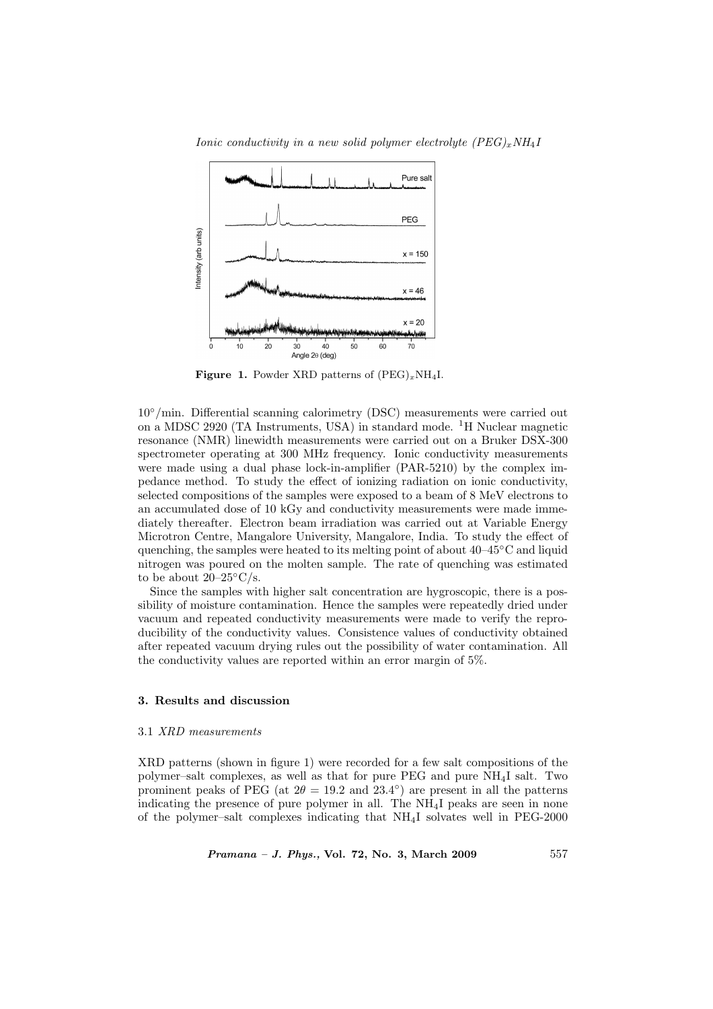

Ionic conductivity in a new solid polymer electrolyte  $(PEG)_xNH_4I$ 

Figure 1. Powder XRD patterns of  $(PEG)_xNH_4I$ .

10◦/min. Differential scanning calorimetry (DSC) measurements were carried out on a MDSC 2920 (TA Instruments, USA) in standard mode. <sup>1</sup>H Nuclear magnetic resonance (NMR) linewidth measurements were carried out on a Bruker DSX-300 spectrometer operating at 300 MHz frequency. Ionic conductivity measurements were made using a dual phase lock-in-amplifier (PAR-5210) by the complex impedance method. To study the effect of ionizing radiation on ionic conductivity, selected compositions of the samples were exposed to a beam of 8 MeV electrons to an accumulated dose of 10 kGy and conductivity measurements were made immediately thereafter. Electron beam irradiation was carried out at Variable Energy Microtron Centre, Mangalore University, Mangalore, India. To study the effect of quenching, the samples were heated to its melting point of about  $40-45°C$  and liquid nitrogen was poured on the molten sample. The rate of quenching was estimated to be about  $20-25\degree\text{C/s}.$ 

Since the samples with higher salt concentration are hygroscopic, there is a possibility of moisture contamination. Hence the samples were repeatedly dried under vacuum and repeated conductivity measurements were made to verify the reproducibility of the conductivity values. Consistence values of conductivity obtained after repeated vacuum drying rules out the possibility of water contamination. All the conductivity values are reported within an error margin of 5%.

## 3. Results and discussion

#### 3.1 XRD measurements

XRD patterns (shown in figure 1) were recorded for a few salt compositions of the polymer–salt complexes, as well as that for pure PEG and pure NH4I salt. Two prominent peaks of PEG (at  $2\theta = 19.2$  and  $23.4°$ ) are present in all the patterns indicating the presence of pure polymer in all. The  $NH<sub>4</sub>I$  peaks are seen in none of the polymer–salt complexes indicating that  $NH<sub>4</sub>I$  solvates well in PEG-2000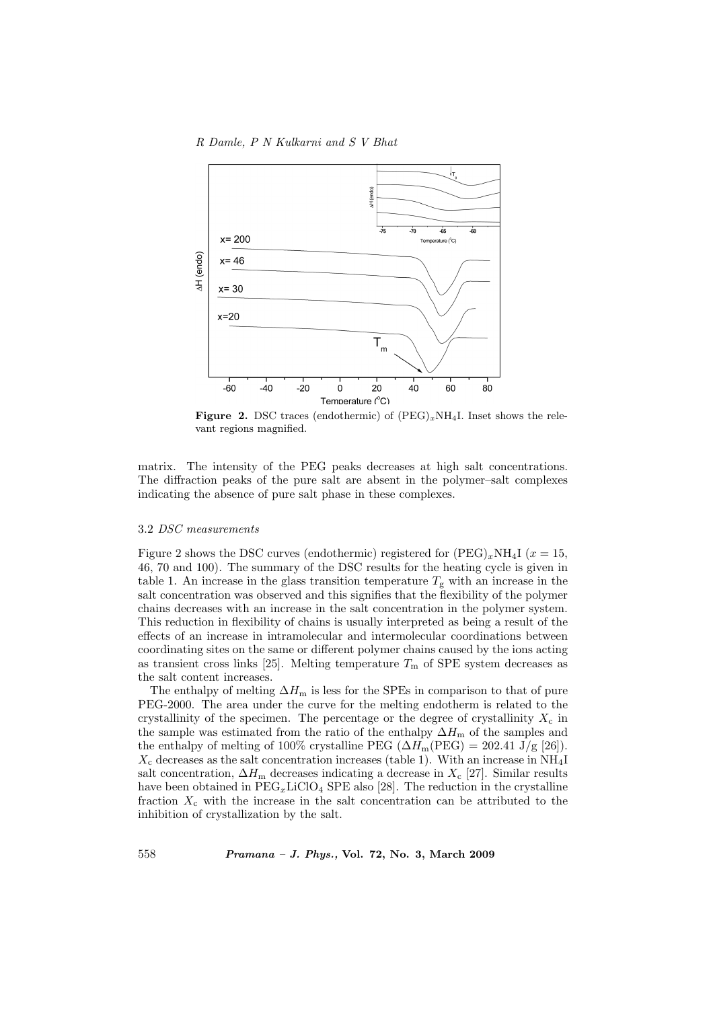

**Figure 2.** DSC traces (endothermic) of  $(PEG)_xNH_4I$ . Inset shows the relevant regions magnified.

matrix. The intensity of the PEG peaks decreases at high salt concentrations. The diffraction peaks of the pure salt are absent in the polymer–salt complexes indicating the absence of pure salt phase in these complexes.

#### 3.2 DSC measurements

Figure 2 shows the DSC curves (endothermic) registered for  $(PEG)_xNH_4I$  ( $x = 15$ , 46, 70 and 100). The summary of the DSC results for the heating cycle is given in table 1. An increase in the glass transition temperature  $T_g$  with an increase in the salt concentration was observed and this signifies that the flexibility of the polymer chains decreases with an increase in the salt concentration in the polymer system. This reduction in flexibility of chains is usually interpreted as being a result of the effects of an increase in intramolecular and intermolecular coordinations between coordinating sites on the same or different polymer chains caused by the ions acting as transient cross links [25]. Melting temperature  $T<sub>m</sub>$  of SPE system decreases as the salt content increases.

The enthalpy of melting  $\Delta H_{\text{m}}$  is less for the SPEs in comparison to that of pure PEG-2000. The area under the curve for the melting endotherm is related to the crystallinity of the specimen. The percentage or the degree of crystallinity  $X_c$  in the sample was estimated from the ratio of the enthalpy  $\Delta H_{\text{m}}$  of the samples and the enthalpy of melting of 100% crystalline PEG ( $\Delta H_{\text{m}}(\text{PEG}) = 202.41 \text{ J/g}$  [26]).  $X_c$  decreases as the salt concentration increases (table 1). With an increase in NH<sub>4</sub>I salt concentration,  $\Delta H_{\text{m}}$  decreases indicating a decrease in  $X_{\text{c}}$  [27]. Similar results have been obtained in  $\text{PEG}_x \text{LiClO}_4$  SPE also [28]. The reduction in the crystalline fraction  $X_c$  with the increase in the salt concentration can be attributed to the inhibition of crystallization by the salt.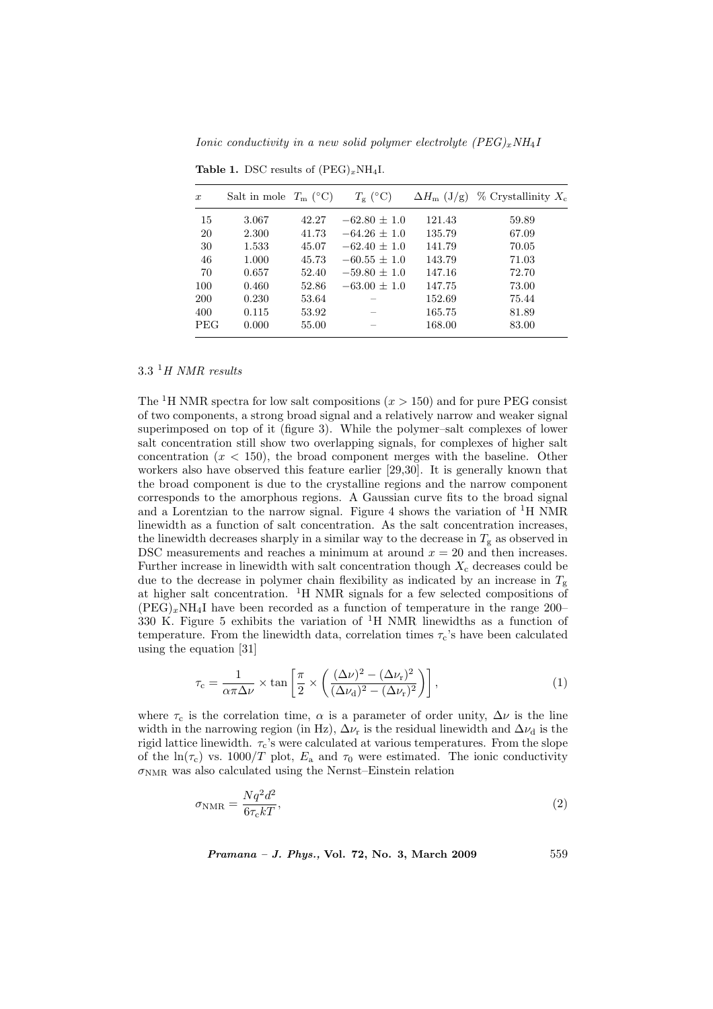Ionic conductivity in a new solid polymer electrolyte  $(PEG)_xNH_4I$ 

| $\boldsymbol{x}$ | Salt in mole $T_m$ (°C) |       | $T_{\rm g}$ (°C) | $\Delta H_{\rm m}$ (J/g) | $\%$ Crystallinity $X_c$ |
|------------------|-------------------------|-------|------------------|--------------------------|--------------------------|
| 15               | 3.067                   | 42.27 | $-62.80 + 1.0$   | 121.43                   | 59.89                    |
| 20               | 2.300                   | 41.73 | $-64.26 + 1.0$   | 135.79                   | 67.09                    |
| 30               | 1.533                   | 45.07 | $-62.40 + 1.0$   | 141.79                   | 70.05                    |
| 46               | 1.000                   | 45.73 | $-60.55 + 1.0$   | 143.79                   | 71.03                    |
| 70               | 0.657                   | 52.40 | $-59.80 + 1.0$   | 147.16                   | 72.70                    |
| 100              | 0.460                   | 52.86 | $-63.00 + 1.0$   | 147.75                   | 73.00                    |
| <b>200</b>       | 0.230                   | 53.64 |                  | 152.69                   | 75.44                    |
| 400              | 0.115                   | 53.92 |                  | 165.75                   | 81.89                    |
| <b>PEG</b>       | 0.000                   | 55.00 |                  | 168.00                   | 83.00                    |

Table 1. DSC results of  $(PEG)_xNH_4I$ .

 $3.3$  <sup>1</sup>H NMR results

The <sup>1</sup>H NMR spectra for low salt compositions  $(x > 150)$  and for pure PEG consist of two components, a strong broad signal and a relatively narrow and weaker signal superimposed on top of it (figure 3). While the polymer–salt complexes of lower salt concentration still show two overlapping signals, for complexes of higher salt concentration  $(x < 150)$ , the broad component merges with the baseline. Other workers also have observed this feature earlier [29,30]. It is generally known that the broad component is due to the crystalline regions and the narrow component corresponds to the amorphous regions. A Gaussian curve fits to the broad signal and a Lorentzian to the narrow signal. Figure 4 shows the variation of  ${}^{1}H$  NMR linewidth as a function of salt concentration. As the salt concentration increases, the linewidth decreases sharply in a similar way to the decrease in  $T_g$  as observed in DSC measurements and reaches a minimum at around  $x = 20$  and then increases. Further increase in linewidth with salt concentration though  $X_c$  decreases could be due to the decrease in polymer chain flexibility as indicated by an increase in  $T_g$ at higher salt concentration. <sup>1</sup>H NMR signals for a few selected compositions of  $(PEG)_xNH_4I$  have been recorded as a function of temperature in the range 200– 330 K. Figure 5 exhibits the variation of  ${}^{1}H$  NMR linewidths as a function of temperature. From the linewidth data, correlation times  $\tau_c$ 's have been calculated using the equation [31]

$$
\tau_{\rm c} = \frac{1}{\alpha \pi \Delta \nu} \times \tan \left[ \frac{\pi}{2} \times \left( \frac{(\Delta \nu)^2 - (\Delta \nu_{\rm r})^2}{(\Delta \nu_{\rm d})^2 - (\Delta \nu_{\rm r})^2} \right) \right],\tag{1}
$$

where  $\tau_c$  is the correlation time,  $\alpha$  is a parameter of order unity,  $\Delta \nu$  is the line width in the narrowing region (in Hz),  $\Delta \nu_r$  is the residual linewidth and  $\Delta \nu_d$  is the rigid lattice linewidth.  $\tau_c$ 's were calculated at various temperatures. From the slope of the  $\ln(\tau_c)$  vs. 1000/T plot,  $E_a$  and  $\tau_0$  were estimated. The ionic conductivity  $\sigma_{\text{NMR}}$  was also calculated using the Nernst–Einstein relation

$$
\sigma_{\rm NMR} = \frac{Nq^2d^2}{6\tau_{\rm c}kT},\tag{2}
$$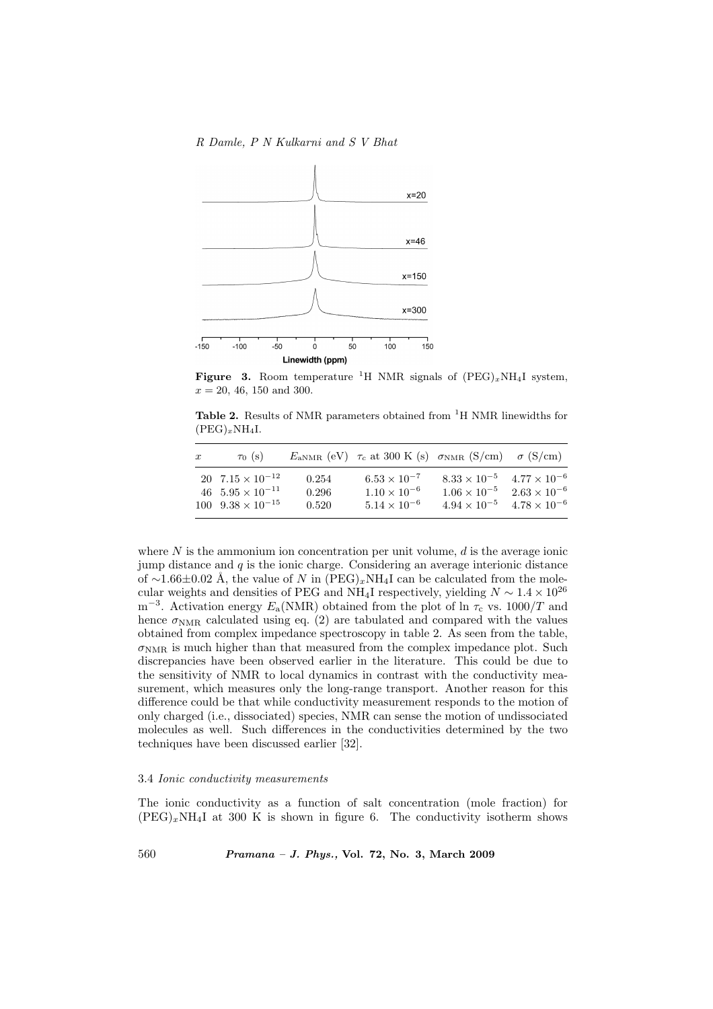R Damle, P N Kulkarni and S V Bhat



**Figure 3.** Room temperature <sup>1</sup>H NMR signals of  $(PEG)_xNH_4I$  system,  $x = 20, 46, 150, \text{and } 300.$ 

Table 2. Results of NMR parameters obtained from <sup>1</sup>H NMR linewidths for  $(PEG)_xNH_4I.$ 

| $\boldsymbol{x}$ | $\tau_0$ (s)                                                                               |                         | $E_{\text{aNMR}}$ (eV) $\tau_c$ at 300 K (s) $\sigma_{\text{NMR}}$ (S/cm) $\sigma$ (S/cm) |                                                                                               |                                                |
|------------------|--------------------------------------------------------------------------------------------|-------------------------|-------------------------------------------------------------------------------------------|-----------------------------------------------------------------------------------------------|------------------------------------------------|
|                  | 20 $7.15 \times 10^{-12}$<br>46 $5.95 \times 10^{-11}$<br>$100 \quad 9.38 \times 10^{-15}$ | 0.254<br>0.296<br>0.520 | $6.53 \times 10^{-7}$<br>$1.10 \times 10^{-6}$<br>$5.14 \times 10^{-6}$                   | $8.33 \times 10^{-5}$ $4.77 \times 10^{-6}$<br>$1.06 \times 10^{-5}$<br>$4.94 \times 10^{-5}$ | $2.63 \times 10^{-6}$<br>$4.78 \times 10^{-6}$ |

where  $N$  is the ammonium ion concentration per unit volume,  $d$  is the average ionic jump distance and  $q$  is the ionic charge. Considering an average interionic distance of ~1.66±0.02 Å, the value of N in  $(PEG)_xNH_4I$  can be calculated from the molecular weights and densities of PEG and NH<sub>4</sub>I respectively, yielding  $N \sim 1.4 \times 10^{26}$ m<sup>-3</sup>. Activation energy  $E_a(NMR)$  obtained from the plot of ln  $\tau_c$  vs. 1000/T and hence  $\sigma_{\text{NMR}}$  calculated using eq. (2) are tabulated and compared with the values obtained from complex impedance spectroscopy in table 2. As seen from the table,  $\sigma_{\text{NMR}}$  is much higher than that measured from the complex impedance plot. Such discrepancies have been observed earlier in the literature. This could be due to the sensitivity of NMR to local dynamics in contrast with the conductivity measurement, which measures only the long-range transport. Another reason for this difference could be that while conductivity measurement responds to the motion of only charged (i.e., dissociated) species, NMR can sense the motion of undissociated molecules as well. Such differences in the conductivities determined by the two techniques have been discussed earlier [32].

#### 3.4 Ionic conductivity measurements

The ionic conductivity as a function of salt concentration (mole fraction) for  $(PEG)_xNH_4I$  at 300 K is shown in figure 6. The conductivity isotherm shows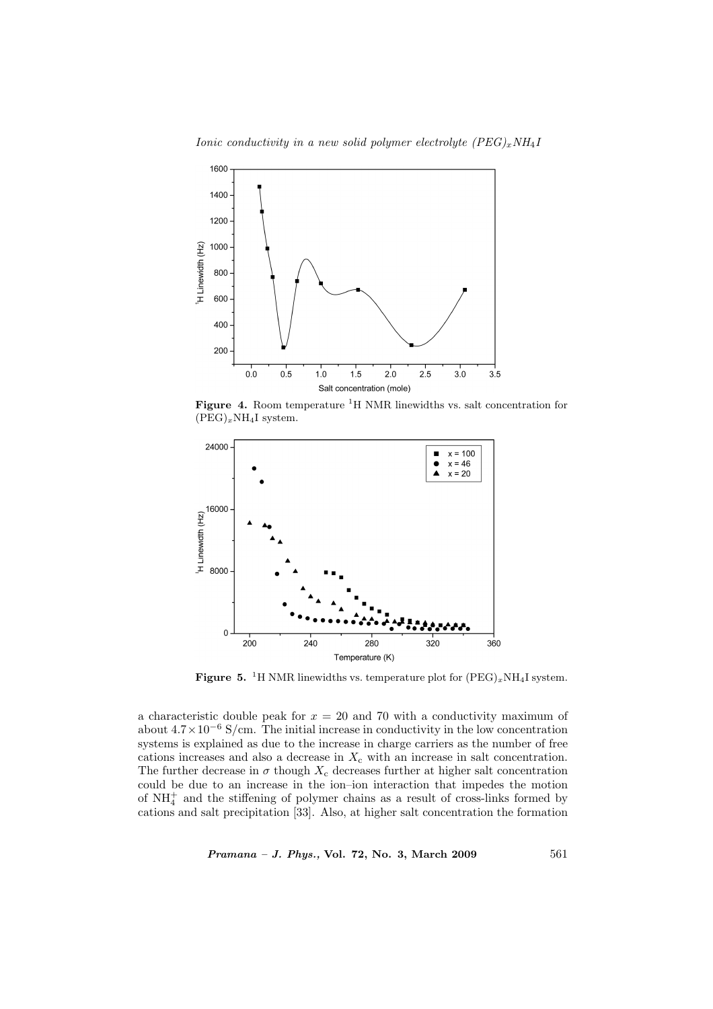



Figure 4. Room temperature  ${}^{1}H$  NMR linewidths vs. salt concentration for  $(PEG)_xNH_4I$  system.



**Figure 5.** <sup>1</sup>H NMR linewidths vs. temperature plot for  $(PEG)_xNH_4I$  system.

a characteristic double peak for  $x = 20$  and 70 with a conductivity maximum of about  $4.7 \times 10^{-6}$  S/cm. The initial increase in conductivity in the low concentration systems is explained as due to the increase in charge carriers as the number of free cations increases and also a decrease in  $X_c$  with an increase in salt concentration. The further decrease in  $\sigma$  though  $X_c$  decreases further at higher salt concentration could be due to an increase in the ion–ion interaction that impedes the motion of  $NH<sub>4</sub><sup>+</sup>$  and the stiffening of polymer chains as a result of cross-links formed by cations and salt precipitation [33]. Also, at higher salt concentration the formation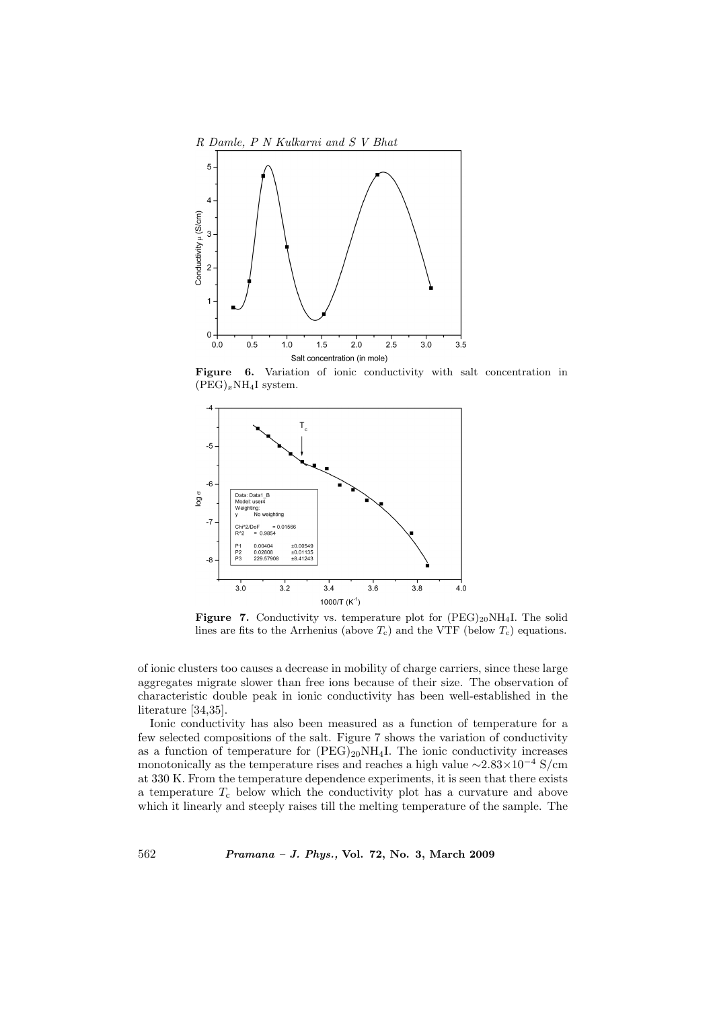

Figure 6. Variation of ionic conductivity with salt concentration in  $(PEG)_xNH_4I$  system.



Figure 7. Conductivity vs. temperature plot for  $(PEG)_{20}NH_4I$ . The solid lines are fits to the Arrhenius (above  $T_c$ ) and the VTF (below  $T_c$ ) equations.

of ionic clusters too causes a decrease in mobility of charge carriers, since these large aggregates migrate slower than free ions because of their size. The observation of characteristic double peak in ionic conductivity has been well-established in the literature [34,35].

Ionic conductivity has also been measured as a function of temperature for a few selected compositions of the salt. Figure 7 shows the variation of conductivity as a function of temperature for  $(PEG)_{20}NH_4I$ . The ionic conductivity increases monotonically as the temperature rises and reaches a high value  ${\sim}2.83{\times}10^{-4}$  S/cm at 330 K. From the temperature dependence experiments, it is seen that there exists a temperature  $T_c$  below which the conductivity plot has a curvature and above which it linearly and steeply raises till the melting temperature of the sample. The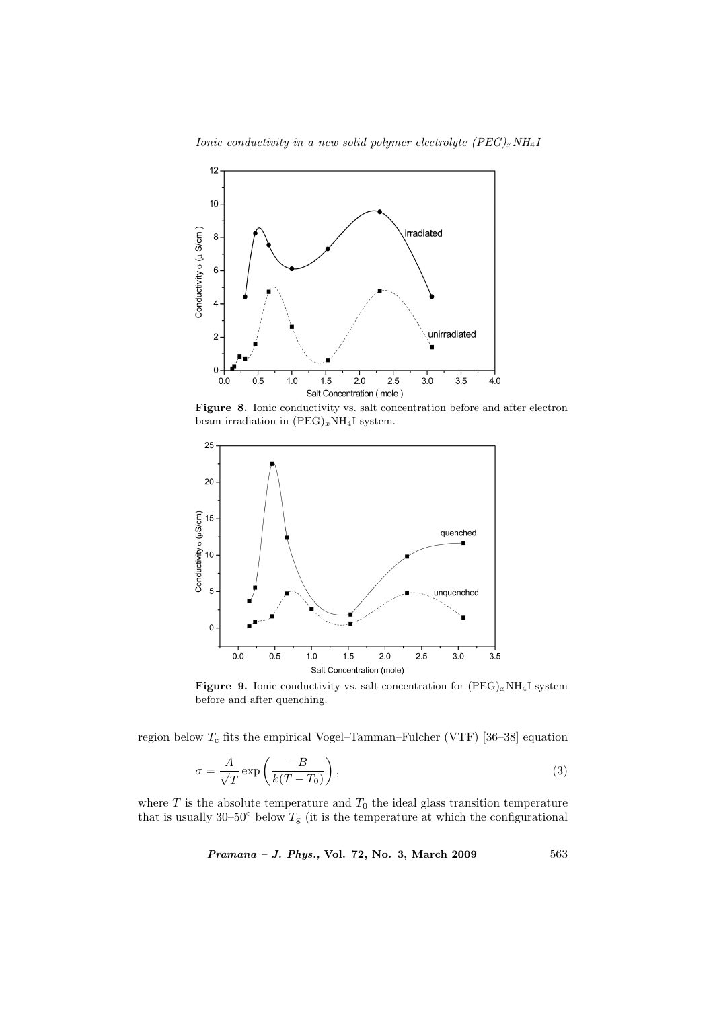



Figure 8. Ionic conductivity vs. salt concentration before and after electron beam irradiation in  $(PEG)_xNH_4I$  system.



Figure 9. Ionic conductivity vs. salt concentration for  $(PEG)_xNH_4I$  system before and after quenching.

region below  $T_c$  fits the empirical Vogel–Tamman–Fulcher (VTF) [36–38] equation

$$
\sigma = \frac{A}{\sqrt{T}} \exp\left(\frac{-B}{k(T - T_0)}\right),\tag{3}
$$

where  $T$  is the absolute temperature and  $T_0$  the ideal glass transition temperature that is usually 30–50 $\degree$  below  $T_g$  (it is the temperature at which the configurational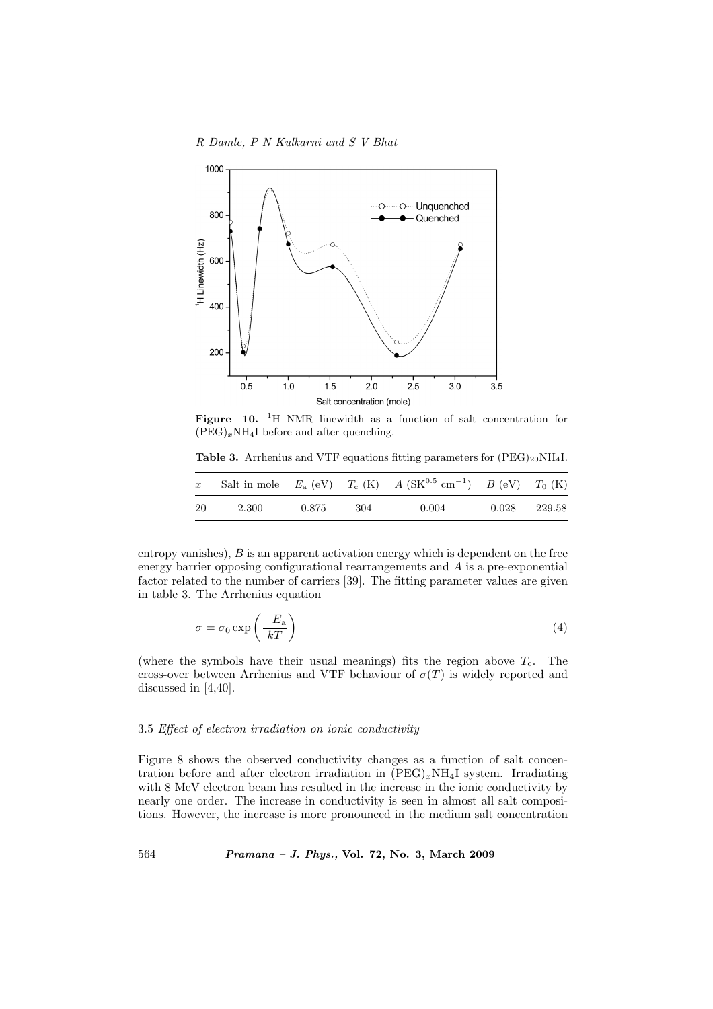

Figure 10. <sup>1</sup>H NMR linewidth as a function of salt concentration for  $(PEG)_xNH_4I$  before and after quenching.

Table 3. Arrhenius and VTF equations fitting parameters for  $(PEG)_{20}NH<sub>4</sub>I$ .

| $\boldsymbol{x}$ |       |       |       | Salt in mole $E_{a}$ (eV) $T_{c}$ (K) $A$ (SK <sup>0.5</sup> cm <sup>-1</sup> ) $B$ (eV) $T_{0}$ (K) |              |  |
|------------------|-------|-------|-------|------------------------------------------------------------------------------------------------------|--------------|--|
| -20              | 2.300 | 0.875 | - 304 | 0.004                                                                                                | 0.028 229.58 |  |

entropy vanishes),  $B$  is an apparent activation energy which is dependent on the free energy barrier opposing configurational rearrangements and A is a pre-exponential factor related to the number of carriers [39]. The fitting parameter values are given in table 3. The Arrhenius equation

$$
\sigma = \sigma_0 \exp\left(\frac{-E_a}{kT}\right) \tag{4}
$$

(where the symbols have their usual meanings) fits the region above  $T_c$ . The cross-over between Arrhenius and VTF behaviour of  $\sigma(T)$  is widely reported and discussed in [4,40].

#### 3.5 Effect of electron irradiation on ionic conductivity

Figure 8 shows the observed conductivity changes as a function of salt concentration before and after electron irradiation in  $(PEG)_xNH_4I$  system. Irradiating with 8 MeV electron beam has resulted in the increase in the ionic conductivity by nearly one order. The increase in conductivity is seen in almost all salt compositions. However, the increase is more pronounced in the medium salt concentration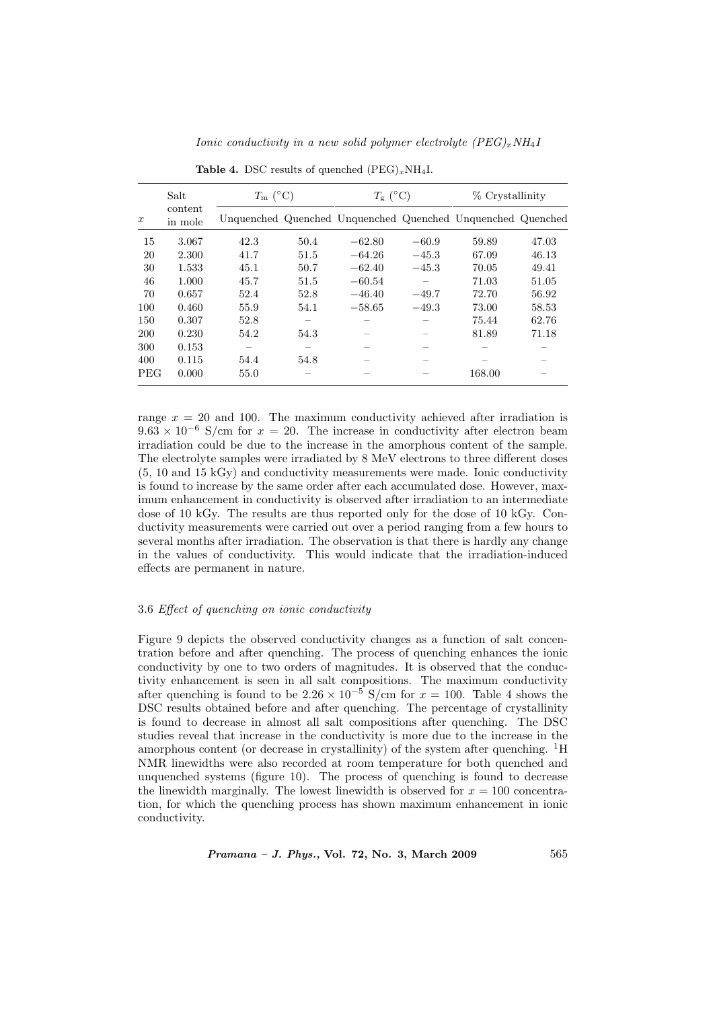|                  | Salt               | $T_{\rm m}$ (°C) |      | $T_{\rm g}$ (°C) |         | % Crystallinity                                             |       |
|------------------|--------------------|------------------|------|------------------|---------|-------------------------------------------------------------|-------|
| $\boldsymbol{x}$ | content<br>in mole |                  |      |                  |         | Unquenched Quenched Unquenched Quenched Unquenched Quenched |       |
| 15               | 3.067              | 42.3             | 50.4 | $-62.80$         | $-60.9$ | 59.89                                                       | 47.03 |
| 20               | 2.300              | 41.7             | 51.5 | $-64.26$         | $-45.3$ | 67.09                                                       | 46.13 |
| 30               | 1.533              | 45.1             | 50.7 | $-62.40$         | $-45.3$ | 70.05                                                       | 49.41 |
| 46               | 1.000              | 45.7             | 51.5 | $-60.54$         |         | 71.03                                                       | 51.05 |
| 70               | 0.657              | 52.4             | 52.8 | $-46.40$         | $-49.7$ | 72.70                                                       | 56.92 |
| 100              | 0.460              | 55.9             | 54.1 | $-58.65$         | $-49.3$ | 73.00                                                       | 58.53 |
| 150              | 0.307              | 52.8             |      |                  |         | 75.44                                                       | 62.76 |
| <b>200</b>       | 0.230              | 54.2             | 54.3 |                  |         | 81.89                                                       | 71.18 |
| 300              | 0.153              |                  |      |                  |         |                                                             |       |
| 400              | 0.115              | 54.4             | 54.8 |                  |         |                                                             |       |
| <b>PEG</b>       | 0.000              | 55.0             |      |                  |         | 168.00                                                      |       |

Ionic conductivity in a new solid polymer electrolyte  $(PEG)_xNH_4I$ 

| <b>Table 4.</b> DSC results of quenched $(PEG)_xNH_4I$ . |  |
|----------------------------------------------------------|--|

range  $x = 20$  and 100. The maximum conductivity achieved after irradiation is  $9.63 \times 10^{-6}$  S/cm for  $x = 20$ . The increase in conductivity after electron beam irradiation could be due to the increase in the amorphous content of the sample. The electrolyte samples were irradiated by 8 MeV electrons to three different doses (5, 10 and 15 kGy) and conductivity measurements were made. Ionic conductivity is found to increase by the same order after each accumulated dose. However, maximum enhancement in conductivity is observed after irradiation to an intermediate dose of 10 kGy. The results are thus reported only for the dose of 10 kGy. Conductivity measurements were carried out over a period ranging from a few hours to several months after irradiation. The observation is that there is hardly any change in the values of conductivity. This would indicate that the irradiation-induced effects are permanent in nature.

# 3.6 Effect of quenching on ionic conductivity

Figure 9 depicts the observed conductivity changes as a function of salt concentration before and after quenching. The process of quenching enhances the ionic conductivity by one to two orders of magnitudes. It is observed that the conductivity enhancement is seen in all salt compositions. The maximum conductivity after quenching is found to be  $2.26 \times 10^{-5}$  S/cm for  $x = 100$ . Table 4 shows the DSC results obtained before and after quenching. The percentage of crystallinity is found to decrease in almost all salt compositions after quenching. The DSC studies reveal that increase in the conductivity is more due to the increase in the amorphous content (or decrease in crystallinity) of the system after quenching.  ${}^{1}H$ NMR linewidths were also recorded at room temperature for both quenched and unquenched systems (figure 10). The process of quenching is found to decrease the linewidth marginally. The lowest linewidth is observed for  $x = 100$  concentration, for which the quenching process has shown maximum enhancement in ionic conductivity.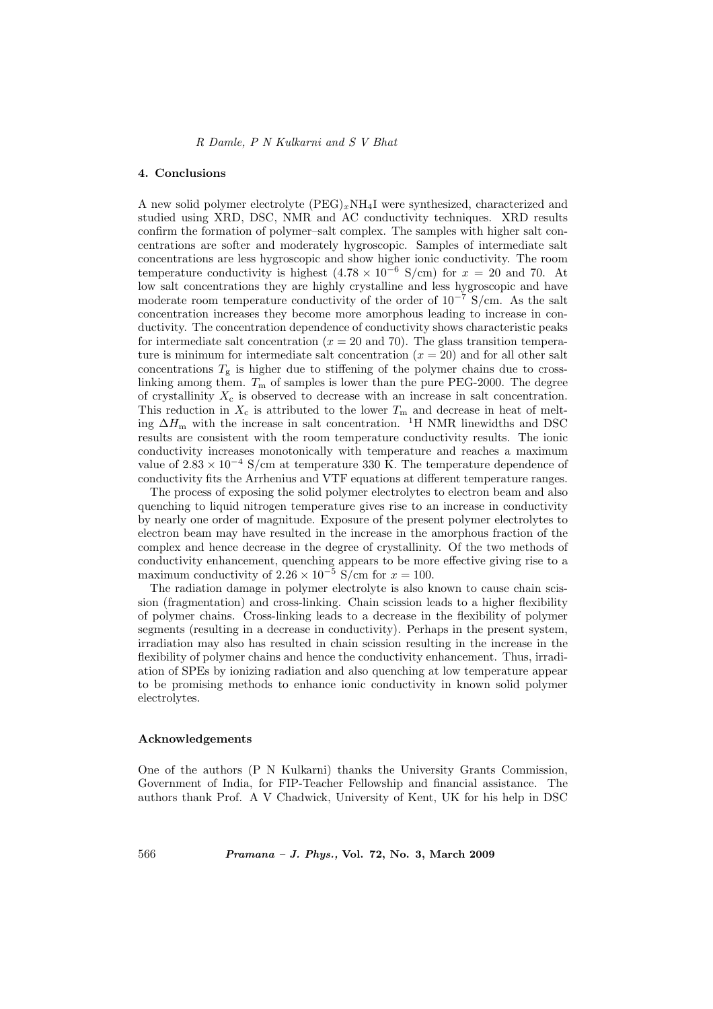#### 4. Conclusions

A new solid polymer electrolyte  $(PEG)_xNH_4I$  were synthesized, characterized and studied using XRD, DSC, NMR and AC conductivity techniques. XRD results confirm the formation of polymer–salt complex. The samples with higher salt concentrations are softer and moderately hygroscopic. Samples of intermediate salt concentrations are less hygroscopic and show higher ionic conductivity. The room temperature conductivity is highest  $(4.78 \times 10^{-6} \text{ S/cm})$  for  $x = 20$  and 70. At low salt concentrations they are highly crystalline and less hygroscopic and have moderate room temperature conductivity of the order of  $10^{-7}$  S/cm. As the salt concentration increases they become more amorphous leading to increase in conductivity. The concentration dependence of conductivity shows characteristic peaks for intermediate salt concentration  $(x = 20 \text{ and } 70)$ . The glass transition temperature is minimum for intermediate salt concentration  $(x = 20)$  and for all other salt concentrations  $T_g$  is higher due to stiffening of the polymer chains due to crosslinking among them.  $T_m$  of samples is lower than the pure PEG-2000. The degree of crystallinity  $X_c$  is observed to decrease with an increase in salt concentration. This reduction in  $X_c$  is attributed to the lower  $T_m$  and decrease in heat of melting  $\Delta H_{\rm m}$  with the increase in salt concentration. <sup>1</sup>H NMR linewidths and DSC results are consistent with the room temperature conductivity results. The ionic conductivity increases monotonically with temperature and reaches a maximum value of  $2.83 \times 10^{-4}$  S/cm at temperature 330 K. The temperature dependence of conductivity fits the Arrhenius and VTF equations at different temperature ranges.

The process of exposing the solid polymer electrolytes to electron beam and also quenching to liquid nitrogen temperature gives rise to an increase in conductivity by nearly one order of magnitude. Exposure of the present polymer electrolytes to electron beam may have resulted in the increase in the amorphous fraction of the complex and hence decrease in the degree of crystallinity. Of the two methods of conductivity enhancement, quenching appears to be more effective giving rise to a maximum conductivity of  $2.26 \times 10^{-5}$  S/cm for  $x = 100$ .

The radiation damage in polymer electrolyte is also known to cause chain scission (fragmentation) and cross-linking. Chain scission leads to a higher flexibility of polymer chains. Cross-linking leads to a decrease in the flexibility of polymer segments (resulting in a decrease in conductivity). Perhaps in the present system, irradiation may also has resulted in chain scission resulting in the increase in the flexibility of polymer chains and hence the conductivity enhancement. Thus, irradiation of SPEs by ionizing radiation and also quenching at low temperature appear to be promising methods to enhance ionic conductivity in known solid polymer electrolytes.

#### Acknowledgements

One of the authors (P N Kulkarni) thanks the University Grants Commission, Government of India, for FIP-Teacher Fellowship and financial assistance. The authors thank Prof. A V Chadwick, University of Kent, UK for his help in DSC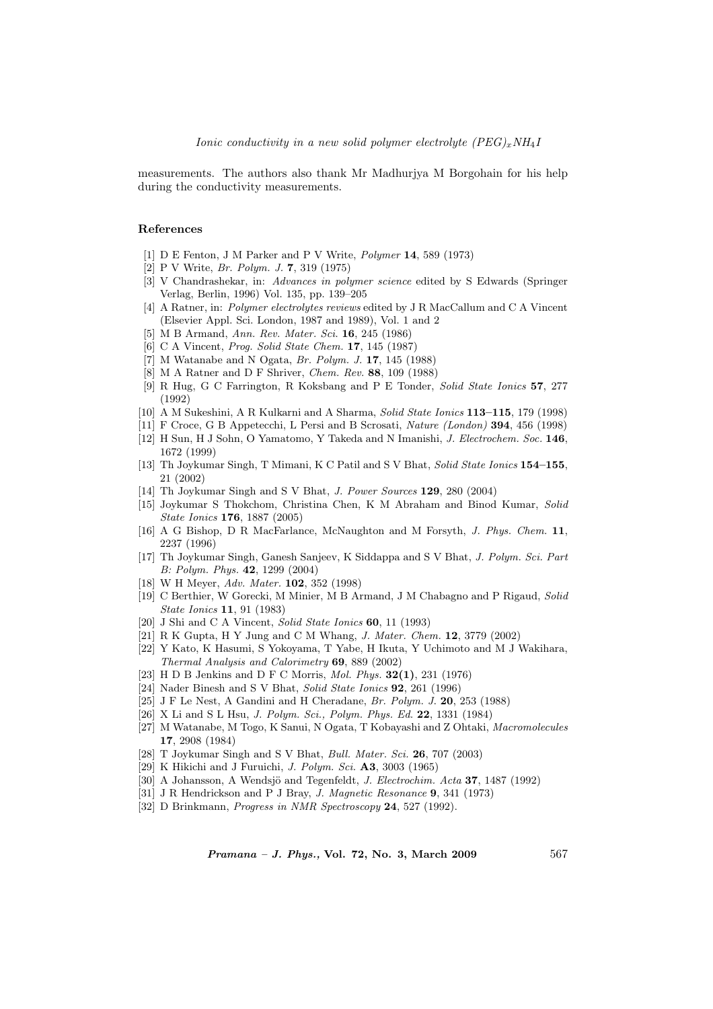measurements. The authors also thank Mr Madhurjya M Borgohain for his help during the conductivity measurements.

## References

- [1] D E Fenton, J M Parker and P V Write, Polymer 14, 589 (1973)
- [2] P V Write, Br. Polym. J. 7, 319 (1975)
- [3] V Chandrashekar, in: Advances in polymer science edited by S Edwards (Springer Verlag, Berlin, 1996) Vol. 135, pp. 139–205
- [4] A Ratner, in: Polymer electrolytes reviews edited by J R MacCallum and C A Vincent (Elsevier Appl. Sci. London, 1987 and 1989), Vol. 1 and 2
- [5] M B Armand, Ann. Rev. Mater. Sci. 16, 245 (1986)
- [6] C A Vincent, Prog. Solid State Chem. 17, 145 (1987)
- [7] M Watanabe and N Ogata, Br. Polym. J. 17, 145 (1988)
- [8] M A Ratner and D F Shriver, Chem. Rev. 88, 109 (1988)
- [9] R Hug, G C Farrington, R Koksbang and P E Tonder, Solid State Ionics 57, 277 (1992)
- [10] A M Sukeshini, A R Kulkarni and A Sharma, Solid State Ionics 113–115, 179 (1998)
- [11] F Croce, G B Appetecchi, L Persi and B Scrosati, Nature (London) 394, 456 (1998)
- [12] H Sun, H J Sohn, O Yamatomo, Y Takeda and N Imanishi, J. Electrochem. Soc. 146, 1672 (1999)
- [13] Th Joykumar Singh, T Mimani, K C Patil and S V Bhat, Solid State Ionics 154–155, 21 (2002)
- [14] Th Joykumar Singh and S V Bhat, J. Power Sources 129, 280 (2004)
- [15] Joykumar S Thokchom, Christina Chen, K M Abraham and Binod Kumar, Solid State Ionics 176, 1887 (2005)
- [16] A G Bishop, D R MacFarlance, McNaughton and M Forsyth, J. Phys. Chem. 11, 2237 (1996)
- [17] Th Joykumar Singh, Ganesh Sanjeev, K Siddappa and S V Bhat, J. Polym. Sci. Part B: Polym. Phys. 42, 1299 (2004)
- [18] W H Meyer, Adv. Mater. 102, 352 (1998)
- [19] C Berthier, W Gorecki, M Minier, M B Armand, J M Chabagno and P Rigaud, Solid State Ionics 11, 91 (1983)
- [20] J Shi and C A Vincent, Solid State Ionics 60, 11 (1993)
- [21] R K Gupta, H Y Jung and C M Whang, J. Mater. Chem. 12, 3779 (2002)
- [22] Y Kato, K Hasumi, S Yokoyama, T Yabe, H Ikuta, Y Uchimoto and M J Wakihara, Thermal Analysis and Calorimetry 69, 889 (2002)
- [23] H D B Jenkins and D F C Morris, *Mol. Phys.* **32(1)**, 231 (1976)
- [24] Nader Binesh and S V Bhat, Solid State Ionics 92, 261 (1996)
- [25] J F Le Nest, A Gandini and H Cheradane, Br. Polym. J. 20, 253 (1988)
- [26] X Li and S L Hsu, J. Polym. Sci., Polym. Phys. Ed. 22, 1331 (1984)
- [27] M Watanabe, M Togo, K Sanui, N Ogata, T Kobayashi and Z Ohtaki, Macromolecules 17, 2908 (1984)
- [28] T Joykumar Singh and S V Bhat, *Bull. Mater. Sci.* **26**, 707 (2003)
- [29] K Hikichi and J Furuichi, *J. Polym. Sci.* **A3**, 3003 (1965)
- [30] A Johansson, A Wendsjö and Tegenfeldt, J. Electrochim. Acta 37, 1487 (1992)
- [31] J R Hendrickson and P J Bray, *J. Magnetic Resonance* 9, 341 (1973)
- [32] D Brinkmann, *Progress in NMR Spectroscopy* **24**, 527 (1992).